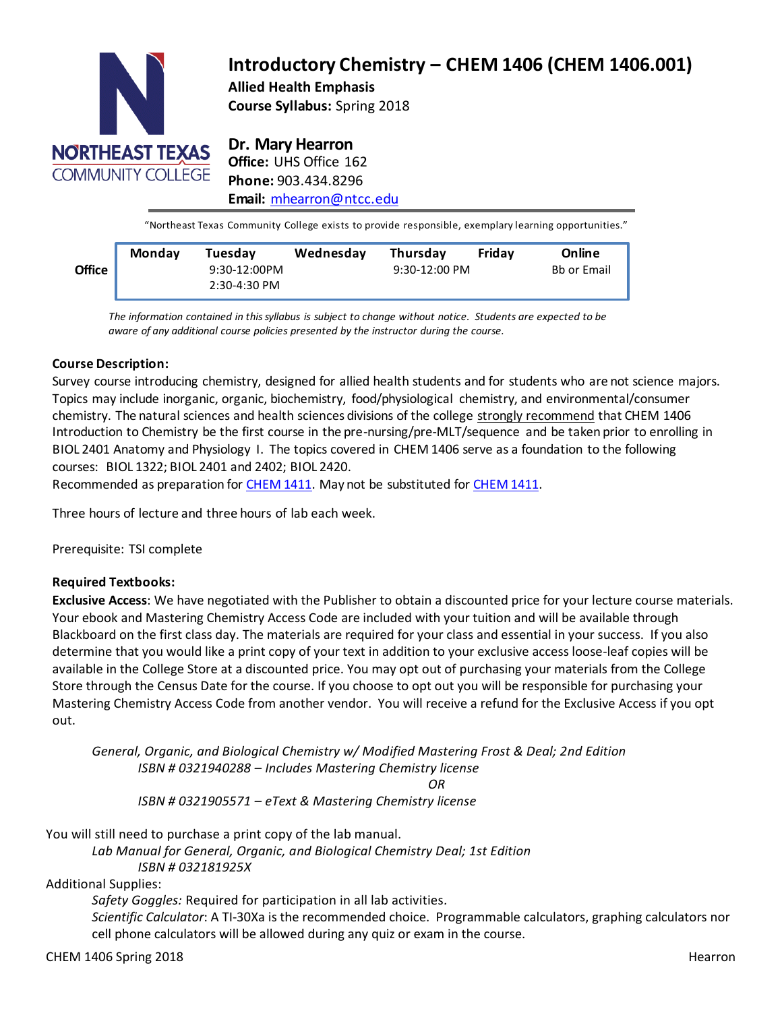

# **Introductory Chemistry – CHEM 1406 (CHEM 1406.001) Allied Health Emphasis**

**Course Syllabus:** Spring 2018

**Dr. Mary Hearron Office:** UHS Office 162 **Phone:** 903.434.8296 **Email:** [mhearron@ntcc.edu](mailto:mhearron@ntcc.edu)

"Northeast Texas Community College exists to provide responsible, exemplary learning opportunities."

|               | <b>Monday</b> | Tuesdav        | Wednesday | <b>Thursdav</b> | Fridav | Online             |
|---------------|---------------|----------------|-----------|-----------------|--------|--------------------|
| <b>Office</b> |               | $9:30-12:00PM$ |           | $9:30-12:00$ PM |        | <b>Bb or Email</b> |
|               |               | 2:30-4:30 PM   |           |                 |        |                    |

**Email or Bb** *aware of any additional course policies presented by the instructor during the course. The information contained in thissyllabus is subject to change without notice. Students are expected to be*

# **Course Description:**

Survey course introducing chemistry, designed for allied health students and for students who are not science majors. Topics may include inorganic, organic, biochemistry, food/physiological chemistry, and environmental/consumer chemistry. The natural sciences and health sciences divisions of the college strongly recommend that CHEM 1406 Introduction to Chemistry be the first course in the pre-nursing/pre-MLT/sequence and be taken prior to enrolling in BIOL 2401 Anatomy and Physiology I. The topics covered in CHEM 1406 serve as a foundation to the following courses: BIOL 1322; BIOL 2401 and 2402; BIOL 2420.

Recommended as preparation for [CHEM](http://catalog.ntcc.edu/content.php?filter%5B27%5D=CHEM&filter%5B29%5D&filter%5Bcourse_type%5D=-1&filter%5Bkeyword%5D&filter%5B32%5D=1&filter%5Bcpage%5D=1&cur_cat_oid=3&expand&navoid=752&search_database=Filter&tt5818) 1411. May not be substituted for CHEM 1411.

Three hours of lecture and three hours of lab each week.

Prerequisite: TSI complete

## **Required Textbooks:**

**Exclusive Access**: We have negotiated with the Publisher to obtain a discounted price for your lecture course materials. Your ebook and Mastering Chemistry Access Code are included with your tuition and will be available through Blackboard on the first class day. The materials are required for your class and essential in your success. If you also determine that you would like a print copy of your text in addition to your exclusive access loose-leaf copies will be available in the College Store at a discounted price. You may opt out of purchasing your materials from the College Store through the Census Date for the course. If you choose to opt out you will be responsible for purchasing your Mastering Chemistry Access Code from another vendor. You will receive a refund for the Exclusive Access if you opt out.

*General, Organic, and Biological Chemistry w/ Modified Mastering Frost & Deal; 2nd Edition ISBN # 0321940288 – Includes Mastering Chemistry license OR*

*ISBN # 0321905571 – eText & Mastering Chemistry license*

You will still need to purchase a print copy of the lab manual.

*Lab Manual for General, Organic, and Biological Chemistry Deal; 1st Edition ISBN # 032181925X*

Additional Supplies:

*Safety Goggles:* Required for participation in all lab activities*.*

*Scientific Calculator*: A TI-30Xa is the recommended choice. Programmable calculators, graphing calculators nor cell phone calculators will be allowed during any quiz or exam in the course.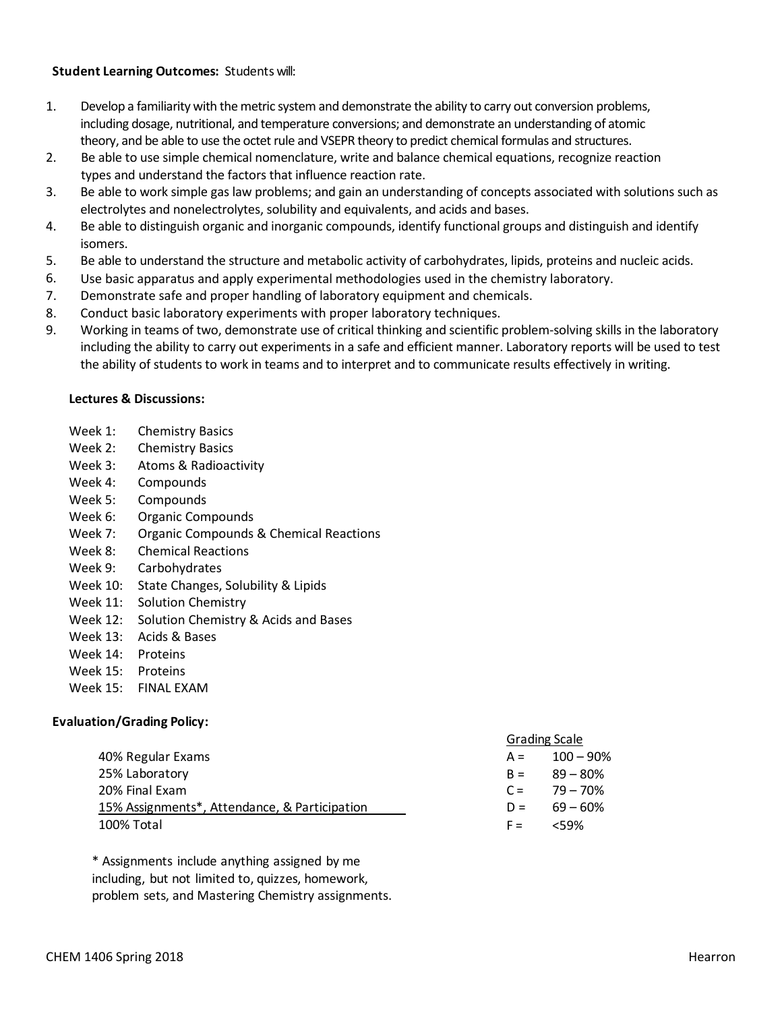## **Student Learning Outcomes:** Students will:

- 1. Develop a familiarity with the metric system and demonstrate the ability to carry out conversion problems, including dosage, nutritional, and temperature conversions; and demonstrate an understanding of atomic theory, and be able to use the octet rule and VSEPR theory to predict chemical formulas and structures.
- 2. Be able to use simple chemical nomenclature, write and balance chemical equations, recognize reaction types and understand the factors that influence reaction rate.
- 3. Be able to work simple gas law problems; and gain an understanding of concepts associated with solutions such as electrolytes and nonelectrolytes, solubility and equivalents, and acids and bases.
- 4. Be able to distinguish organic and inorganic compounds, identify functional groups and distinguish and identify isomers.
- 5. Be able to understand the structure and metabolic activity of carbohydrates, lipids, proteins and nucleic acids.
- 6. Use basic apparatus and apply experimental methodologies used in the chemistry laboratory.
- 7. Demonstrate safe and proper handling of laboratory equipment and chemicals.
- 8. Conduct basic laboratory experiments with proper laboratory techniques.
- 9. Working in teams of two, demonstrate use of critical thinking and scientific problem-solving skills in the laboratory including the ability to carry out experiments in a safe and efficient manner. Laboratory reports will be used to test the ability of students to work in teams and to interpret and to communicate results effectively in writing.

#### **Lectures & Discussions:**

- Week 1: Chemistry Basics
- Week 2: Chemistry Basics
- Week 3: Atoms & Radioactivity
- Week 4: Compounds
- Week 5: Compounds
- Week 6: Organic Compounds
- Week 7: Organic Compounds & Chemical Reactions
- Week 8: Chemical Reactions
- Week 9: Carbohydrates
- Week 10: State Changes, Solubility & Lipids
- Week 11: Solution Chemistry
- Week 12: Solution Chemistry & Acids and Bases
- Week 13: Acids & Bases
- Week 14: Proteins
- Week 15: Proteins
- Week 15: FINAL EXAM

## **Evaluation/Grading Policy:**

|                                               |       | <b>Grading Scale</b> |  |
|-----------------------------------------------|-------|----------------------|--|
| 40% Regular Exams                             | $A =$ | $100 - 90\%$         |  |
| 25% Laboratory                                |       | $B = 89 - 80\%$      |  |
| 20% Final Exam                                |       | $C = 79 - 70\%$      |  |
| 15% Assignments*, Attendance, & Participation | $D =$ | 69 – 60%             |  |
| 100% Total                                    | $F =$ | <59%                 |  |

\* Assignments include anything assigned by me including, but not limited to, quizzes, homework, problem sets, and Mastering Chemistry assignments.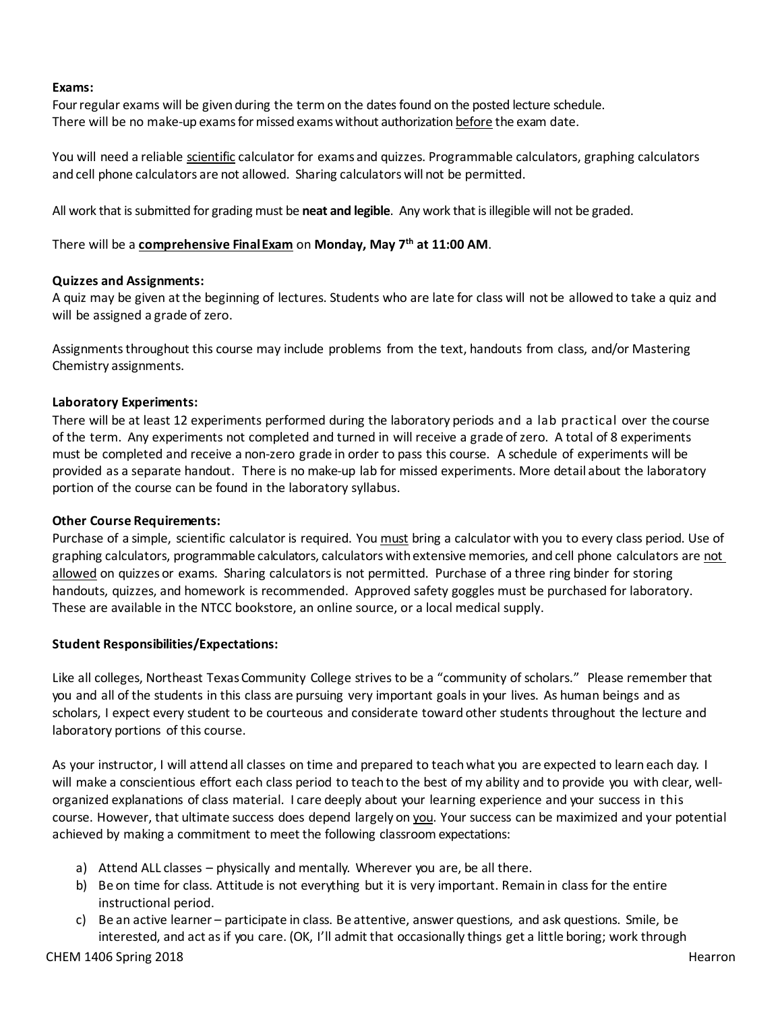#### **Exams:**

Four regular exams will be given during the term on the dates found on the posted lecture schedule. There will be no make-up exams for missed exams without authorization before the exam date.

You will need a reliable scientific calculator for exams and quizzes. Programmable calculators, graphing calculators and cell phone calculators are not allowed. Sharing calculators will not be permitted.

All work that is submitted for grading must be **neat and legible**. Any work that is illegible will not be graded.

There will be a **comprehensive FinalExam** on **Monday, May 7th at 11:00 AM**.

## **Quizzes and Assignments:**

A quiz may be given at the beginning of lectures. Students who are late for class will not be allowed to take a quiz and will be assigned a grade of zero.

Assignments throughout this course may include problems from the text, handouts from class, and/or Mastering Chemistry assignments.

## **Laboratory Experiments:**

There will be at least 12 experiments performed during the laboratory periods and a lab practical over the course of the term. Any experiments not completed and turned in will receive a grade ofzero. A total of 8 experiments must be completed and receive a non-zero grade in order to pass this course. A schedule of experiments will be provided as a separate handout. There is no make-up lab for missed experiments. More detail about the laboratory portion of the course can be found in the laboratory syllabus.

## **Other Course Requirements:**

Purchase of a simple, scientific calculator is required. You must bring a calculator with you to every class period. Use of graphing calculators, programmable calculators, calculators withextensive memories, and cell phone calculators are not allowed on quizzes or exams. Sharing calculators is not permitted. Purchase of a three ring binder for storing handouts, quizzes, and homework is recommended. Approved safety goggles must be purchased for laboratory. These are available in the NTCC bookstore, an online source, or a local medical supply.

## **Student Responsibilities/Expectations:**

Like all colleges, Northeast TexasCommunity College strives to be a "community of scholars." Please remember that you and all of the students in this class are pursuing very important goals in your lives. As human beings and as scholars, I expect every student to be courteous and considerate toward other students throughout the lecture and laboratory portions of this course.

As your instructor, I will attend all classes on time and prepared to teachwhat you are expected to learn each day. I will make a conscientious effort each class period to teach to the best of my ability and to provide you with clear, wellorganized explanations of class material. I care deeply about your learning experience and your success in this course. However, that ultimate success does depend largely on you. Your success can be maximized and your potential achieved by making a commitment to meet the following classroom expectations:

- a) Attend ALL classes physically and mentally. Wherever you are, be all there.
- b) Be on time for class. Attitude is not everything but it is very important. Remain in class for the entire instructional period.
- c) Be an active learner participate in class. Be attentive, answer questions, and ask questions. Smile, be interested, and act as if you care. (OK, I'll admit that occasionally things get a little boring; work through